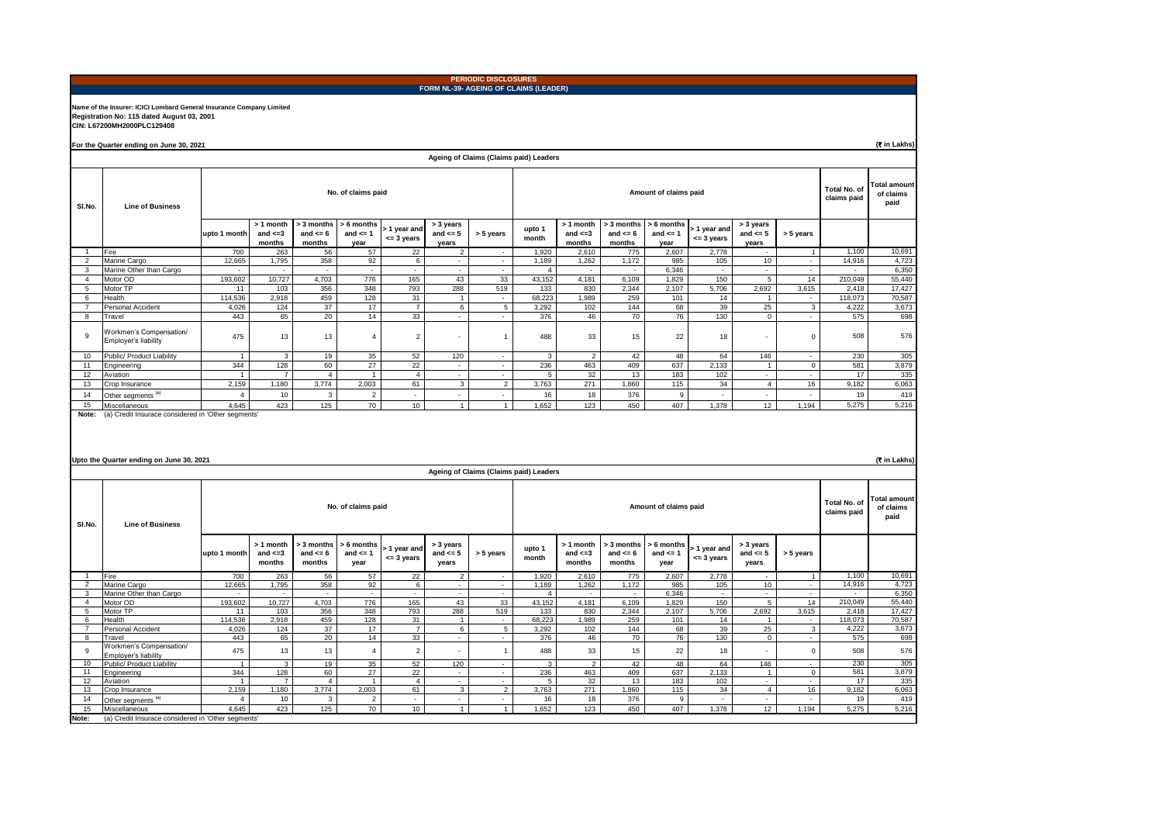|                     |                                                                                                                                                          |                          |                                      |                                      |                                    |                           |                                            | <b>PERIODIC DISCLOSURES</b><br>FORM NL-39- AGEING OF CLAIMS (LEADER) |                 |                                      |                                      |                                          |                                |                                    |                          |                          |                  |  |
|---------------------|----------------------------------------------------------------------------------------------------------------------------------------------------------|--------------------------|--------------------------------------|--------------------------------------|------------------------------------|---------------------------|--------------------------------------------|----------------------------------------------------------------------|-----------------|--------------------------------------|--------------------------------------|------------------------------------------|--------------------------------|------------------------------------|--------------------------|--------------------------|------------------|--|
|                     | Name of the Insurer: ICICI Lombard General Insurance Company Limited<br>Registration No: 115 dated August 03, 2001<br>CIN: L67200MH2000PLC129408         |                          |                                      |                                      |                                    |                           |                                            |                                                                      |                 |                                      |                                      |                                          |                                |                                    |                          |                          |                  |  |
|                     | For the Quarter ending on June 30, 2021                                                                                                                  |                          |                                      |                                      |                                    |                           |                                            |                                                                      |                 |                                      |                                      |                                          |                                |                                    |                          |                          | (T in Lakhs)     |  |
|                     |                                                                                                                                                          |                          |                                      |                                      |                                    |                           |                                            | Ageing of Claims (Claims paid) Leaders                               |                 |                                      |                                      |                                          |                                |                                    |                          |                          |                  |  |
| SI.No.              | <b>Line of Business</b>                                                                                                                                  | No. of claims paid       |                                      |                                      |                                    |                           |                                            |                                                                      |                 |                                      | Total No. of<br>claims paid          | <b>Total amount</b><br>of claims<br>paid |                                |                                    |                          |                          |                  |  |
|                     |                                                                                                                                                          | upto 1 month             | > 1 month<br>and $\leq$ =3<br>months | > 3 months<br>and $\leq 6$<br>months | > 6 months<br>and $\leq 1$<br>year | 1 year and<br>$= 3$ years | > 3 years<br>and $\leq 5$<br>years         | > 5 years                                                            | upto 1<br>month | > 1 month<br>and $\leq 3$<br>months  | > 3 months<br>and $\leq 6$<br>months | > 6 months<br>and $\leq 1$<br>year       | > 1 year and<br><= 3 years     | > 3 years<br>and $\leq 5$<br>years | > 5 years                |                          |                  |  |
|                     | Fire<br>Marine Cargo                                                                                                                                     | 700<br>12,665            | 263<br>1.795                         | 56<br>358                            | 57<br>92                           | 22<br>6                   |                                            |                                                                      | 1,920<br>1.189  | 2,610<br>1,262                       | 775<br>1.172                         | 2,607<br>985                             | 2,778<br>105                   | 10                                 |                          | 1,100<br>14,916          | 10,691<br>4,723  |  |
| 3                   | Marine Other than Cargo                                                                                                                                  | $\overline{\phantom{a}}$ | $\overline{\phantom{a}}$             |                                      |                                    |                           | ٠                                          |                                                                      | $\overline{4}$  | $\overline{\phantom{a}}$             | $\sim$                               | 6,346                                    | $\overline{\phantom{a}}$       |                                    | $\overline{\phantom{a}}$ | $\overline{\phantom{a}}$ | 6.350            |  |
| 4                   | Motor OD                                                                                                                                                 | 193,602                  | 10,727                               | 4,703                                | 776                                | 165                       | 43                                         | 33                                                                   | 43,152          | 4,181                                | 6,109                                | 1,829                                    | 150                            | 5                                  | 14                       | 210,049                  | 55,440           |  |
| 5                   | Motor TP                                                                                                                                                 | 11                       | 103                                  | 356                                  | 348                                | 793                       | 288                                        | 519                                                                  | 133             | 830                                  | 2,344                                | 2,107                                    | 5,706                          | 2,692                              | 3,615                    | 2,418                    | 17,427           |  |
| 6<br>$\overline{7}$ | Health<br>Personal Accident                                                                                                                              | 114,536<br>4,026         | 2,918<br>124                         | 459<br>37                            | 128<br>17                          | 31<br>$\overline{7}$      | $\overline{1}$<br>$\,6\,$                  | $\sim$<br>$\overline{5}$                                             | 68,223<br>3,292 | 1,989<br>102                         | 259<br>144                           | 101<br>68                                | 14<br>39                       | $\mathbf{1}$<br>25                 | $\sim$<br>$\mathbf{3}$   | 118,073<br>4,222         | 70,587<br>3,673  |  |
| 8                   | Travel                                                                                                                                                   | 443                      | 65                                   | 20                                   | 14                                 | 33                        | ÷.                                         | $\sim$                                                               | 376             | 46                                   | 70                                   | 76                                       | 130                            | $\mathbf 0$                        | ÷                        | 575                      | 698              |  |
| 9                   | Workmen's Compensation/<br>Employer's liability                                                                                                          | 475                      | 13                                   | 13                                   | $\overline{4}$                     | $\overline{2}$            | $\overline{a}$                             | $\mathbf{1}$                                                         | 488             | 33                                   | 15                                   | 22                                       | 18                             |                                    | $\Omega$                 | 508                      | 576              |  |
| 10                  | Public/ Product Liability                                                                                                                                | $\mathbf{1}$             | 3                                    | 19                                   | 35                                 | 52                        | 120                                        | $\sim$                                                               | 3               | $\overline{2}$                       | 42                                   | 48                                       | 64                             | 146                                | ÷                        | 230                      | 305              |  |
| 11                  | Engineering                                                                                                                                              | 344                      | 128                                  | 60                                   | 27                                 | 22                        | $\sim$                                     | $\sim$                                                               | 236             | 463                                  | 409                                  | 637                                      | 2,133                          | $\mathbf{1}$                       | $\mathbf 0$              | 581                      | 3,879            |  |
| 12<br>13            | Aviation<br>Crop Insurance                                                                                                                               | $\mathbf{1}$<br>2,159    | $\overline{7}$<br>1,180              | $\overline{4}$<br>3,774              | $\mathbf{1}$<br>2,003              | $\overline{4}$<br>61      | $\overline{\phantom{a}}$<br>$\overline{3}$ | $\sim$<br>$\overline{2}$                                             | 5<br>3,763      | 32<br>271                            | 13<br>1,860                          | 183<br>115                               | 102<br>34                      | $\sim$<br>$\overline{4}$           | $\sim$<br>16             | 17<br>9,182              | 335<br>6,063     |  |
| 14                  | Other segments <sup>(a)</sup>                                                                                                                            | $\overline{4}$           | 10                                   | $\mathsf 3$                          | $\overline{2}$                     | $\overline{\phantom{a}}$  | $\overline{\phantom{a}}$                   | $\mathcal{L}_{\mathcal{A}}$                                          | $16\,$          | 18                                   | 376                                  | $\boldsymbol{9}$                         | $\sim$                         | $\mathcal{L}$                      | $\mathcal{L}$            | 19                       | 419              |  |
| 15                  | Miscellaneous                                                                                                                                            | 4,645                    | 423                                  | 125                                  | 70                                 | 10                        | $\mathbf{1}$                               | $\mathbf{1}$                                                         | 1,652           | 123                                  | 450                                  | 407                                      | 1,378                          | 12                                 | 1,194                    | 5,275                    | 5,216            |  |
|                     | (a) Credit Insurace considered in 'Other segments'<br>(₹ in Lakhs)<br>Upto the Quarter ending on June 30, 2021<br>Ageing of Claims (Claims paid) Leaders |                          |                                      |                                      |                                    |                           |                                            |                                                                      |                 |                                      |                                      |                                          |                                |                                    |                          |                          |                  |  |
| SI.No.              | <b>Line of Business</b>                                                                                                                                  |                          | No. of claims paid                   |                                      |                                    |                           |                                            |                                                                      |                 |                                      | Amount of claims paid                |                                          |                                |                                    |                          |                          |                  |  |
|                     |                                                                                                                                                          | upto 1 month             | > 1 month<br>and $\leq$ =3<br>months | 3 months<br>and $\leq 6$<br>months   | 6 months<br>and $\leq 1$<br>vear   | 1 year and<br>$= 3$ years | > 3 years<br>and $\leq 5$<br>years         | > 5 years                                                            | upto 1<br>month | > 1 month<br>and $\leq$ =3<br>months | 3 months<br>and $\leq 6$<br>months   | 6 months<br>and $\leq 1$<br>year         | 1 year and<br>$= 3$ years      | > 3 years<br>and $\leq 5$<br>years | > 5 years                |                          |                  |  |
| 2                   | Fire<br>Marine Cargo                                                                                                                                     | 700<br>12,665            | 263<br>1,795                         | 56<br>358                            | 57<br>92                           | 22<br>6                   | $\overline{2}$<br>$\sim$                   | $\sim$                                                               | 1,920<br>1,189  | 2,610<br>1,262                       | 775<br>1,172                         | 2,607<br>985                             | 2.778<br>105                   | 10                                 | $\mathbf{1}$<br>$\sim$   | 1,100<br>14,916          | 10,691<br>4,723  |  |
| 3                   | Marine Other than Cargo                                                                                                                                  |                          |                                      |                                      | $\sim$                             | $\overline{\phantom{a}}$  | ÷                                          | $\sim$                                                               | $\overline{4}$  |                                      | $\sim$                               | 6,346                                    |                                |                                    | $\sim$                   | $\sim$                   | 6,350            |  |
| $\overline{4}$      | Motor OD                                                                                                                                                 | 193,602                  | 10,727                               | 4,703                                | 776                                | 165                       | 43                                         | 33                                                                   | 43,152          | 4,181                                | 6,109                                | 1,829                                    | 150                            | $5^{\circ}$                        | 14                       | 210,049                  | 55,440           |  |
| 5                   | Motor TP                                                                                                                                                 | 11                       | 103<br>2.918                         | 356<br>459                           | 348<br>128                         | 793<br>31                 | 288                                        | 519<br>$\sim$                                                        | 133<br>68.223   | 830<br>1.989                         | 2,344<br>259                         | 2,107<br>101                             | 5,706<br>14                    | 2,692<br>$\overline{1}$            | 3,615<br>÷               | 2,418<br>118,073         | 17,427<br>70,587 |  |
| 6<br>$\overline{7}$ | Health<br>Personal Accident                                                                                                                              | 114,536<br>4.026         | 124                                  | 37                                   | 17                                 | $\overline{7}$            | $\overline{1}$<br>6                        | 5                                                                    | 3.292           | 102                                  | 144                                  | 68                                       | 39                             | 25                                 | $\mathbf{3}$             | 4,222                    | 3,673            |  |
| 8                   | Travel                                                                                                                                                   | 443                      | 65                                   | 20                                   | 14                                 | 33                        | L.                                         |                                                                      | 376             | 46                                   | 70                                   | 76                                       | 130                            | $\mathbf 0$                        |                          | 575                      | 698              |  |
| 9<br>10             | Workmen's Compensation/<br>Employer's liability<br>Public/ Product Liability                                                                             | 475<br>$\overline{1}$    | 13<br>3                              | 13<br>19                             | $\overline{4}$<br>35               | $\overline{2}$<br>52      | ÷<br>120                                   | $\overline{1}$<br>$\sim$                                             | 488<br>3        | 33<br>$\mathcal{P}$                  | 15<br>42                             | 22<br>48                                 | 18<br>64                       | 146                                | $\Omega$<br>÷.           | 508<br>230               | 576<br>305       |  |
| 11                  | Engineering                                                                                                                                              | 344                      | 128                                  | 60                                   | 27                                 | 22                        | ÷                                          | $\sim$                                                               | 236             | 463                                  | 409                                  | 637                                      | 2.133                          | $\overline{1}$                     | $\mathbf 0$              | 581                      | 3,879            |  |
| 12                  | Aviation                                                                                                                                                 | $\mathbf{1}$             | $\overline{7}$                       | $\overline{4}$                       | $\overline{1}$                     | $\overline{4}$            | L.                                         | $\sim$                                                               | $\overline{5}$  | 32                                   | 13                                   | 183                                      | 102                            |                                    |                          | 17                       | 335              |  |
| 13<br>14            | Crop Insurance                                                                                                                                           | 2.159<br>$\overline{4}$  | 1.180<br>10                          | 3.774<br>$\ensuremath{\mathsf{3}}$   | 2.003<br>$\overline{2}$            | 61                        | 3<br>÷                                     | $\overline{2}$                                                       | 3.763<br>16     | 271<br>18                            | 1,860<br>376                         | 115<br>$\boldsymbol{9}$                  | 34<br>$\overline{\phantom{a}}$ | $\overline{4}$                     | 16                       | 9,182<br>19              | 6,063<br>419     |  |
| 15                  | Other segments <sup>(a)</sup><br>Miscellaneous                                                                                                           | 4,645                    | 423                                  | 125                                  | 70                                 | 10                        | $\overline{1}$                             | $\mathbf{1}$                                                         | 1,652           | 123                                  | 450                                  | 407                                      | 1,378                          | 12                                 | 1,194                    | 5,275                    | 5,216            |  |
| Note:               | (a) Credit Insurace considered in 'Other segments'                                                                                                       |                          |                                      |                                      |                                    |                           |                                            |                                                                      |                 |                                      |                                      |                                          |                                |                                    |                          |                          |                  |  |